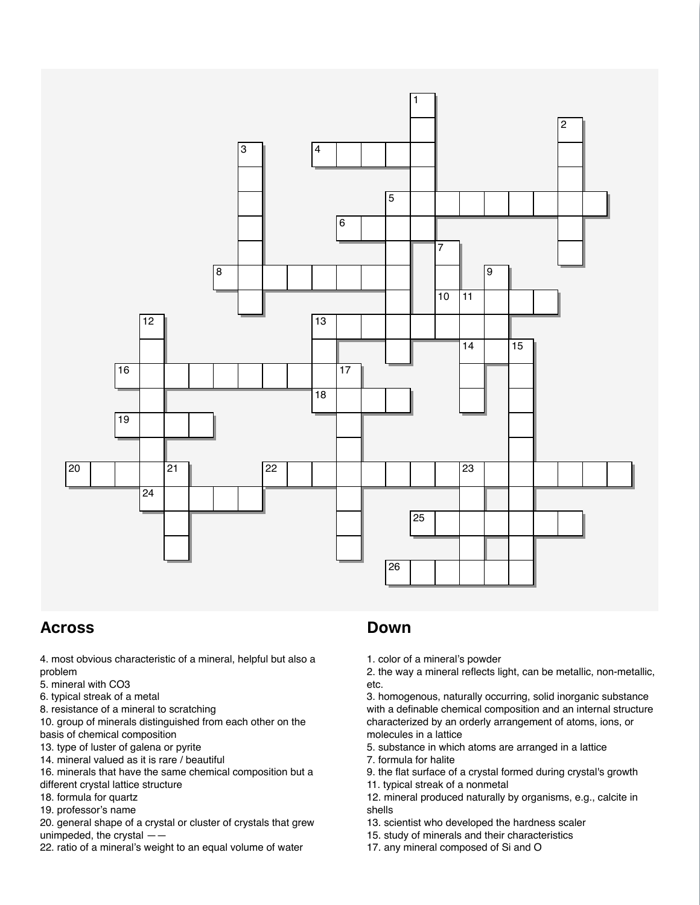

## Across

4. most obvious characteristic of a mineral, helpful but also a problem

- 5. mineral with CO3
- 6. typical streak of a metal
- 8. resistance of a mineral to scratching

10. group of minerals distinguished from each other on the basis of chemical composition

- 13. type of luster of galena or pyrite
- 14. mineral valued as it is rare / beautiful
- 16. minerals that have the same chemical composition but a different crystal lattice structure
- 18. formula for quartz
- 19. professor's name

20. general shape of a crystal or cluster of crystals that grew unimpeded, the crystal ——

22. ratio of a mineral's weight to an equal volume of water

## Down

1. color of a mineral's powder

2. the way a mineral reflects light, can be metallic, non-metallic, etc.

3. homogenous, naturally occurring, solid inorganic substance with a definable chemical composition and an internal structure characterized by an orderly arrangement of atoms, ions, or molecules in a lattice

- 5. substance in which atoms are arranged in a lattice
- 7. formula for halite
- 9. the flat surface of a crystal formed during crystal's growth
- 11. typical streak of a nonmetal
- 12. mineral produced naturally by organisms, e.g., calcite in shells
- 13. scientist who developed the hardness scaler
- 15. study of minerals and their characteristics
- 17. any mineral composed of Si and O